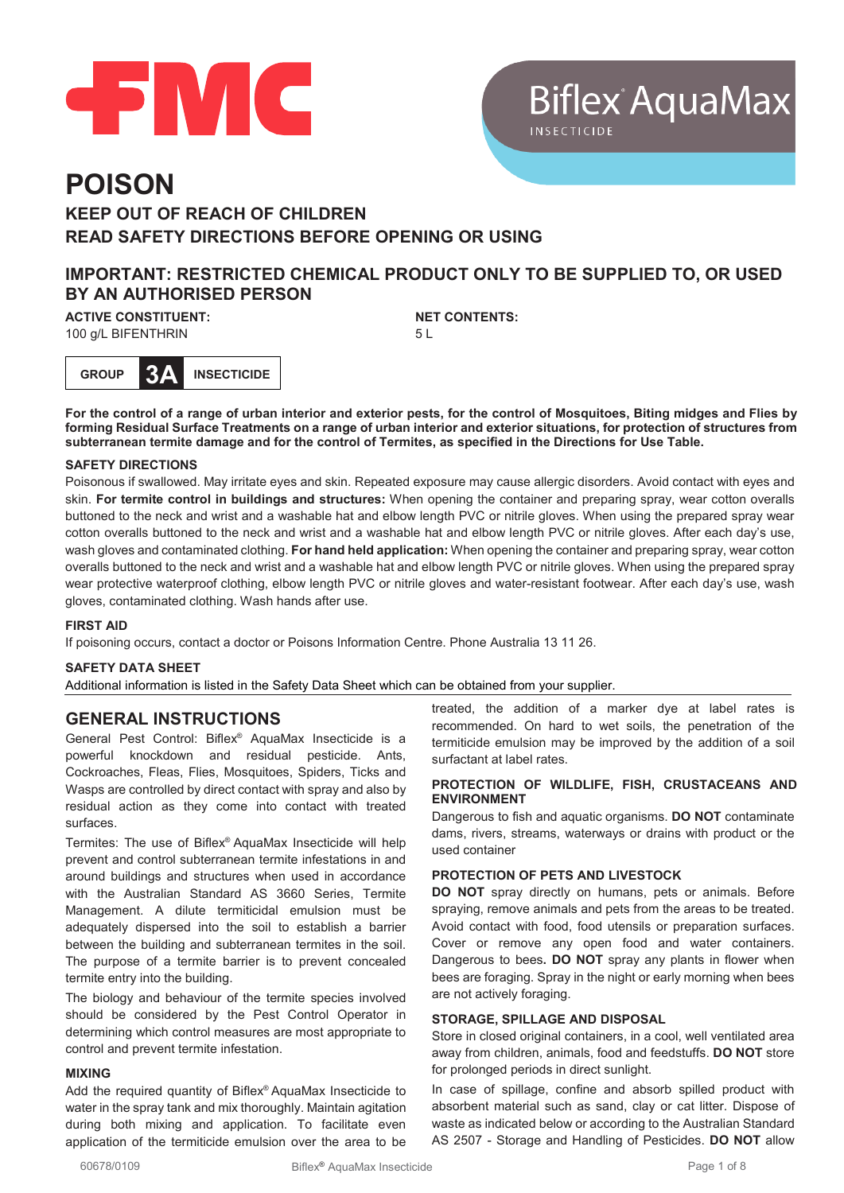

# **Biflex AquaMax**

## **POISON KEEP OUT OF REACH OF CHILDREN READ SAFETY DIRECTIONS BEFORE OPENING OR USING**

## **IMPORTANT: RESTRICTED CHEMICAL PRODUCT ONLY TO BE SUPPLIED TO, OR USED BY AN AUTHORISED PERSON**

**ACTIVE CONSTITUENT:** 100 g/L BIFENTHRIN

**NET CONTENTS:** 5 L

**GROUP 3A INSECTICIDE**

**For the control of a range of urban interior and exterior pests, for the control of Mosquitoes, Biting midges and Flies by forming Residual Surface Treatments on a range of urban interior and exterior situations, for protection of structures from subterranean termite damage and for the control of Termites, as specified in the Directions for Use Table.**

#### **SAFETY DIRECTIONS**

Poisonous if swallowed. May irritate eyes and skin. Repeated exposure may cause allergic disorders. Avoid contact with eyes and skin. **For termite control in buildings and structures:** When opening the container and preparing spray, wear cotton overalls buttoned to the neck and wrist and a washable hat and elbow length PVC or nitrile gloves. When using the prepared spray wear cotton overalls buttoned to the neck and wrist and a washable hat and elbow length PVC or nitrile gloves. After each day's use, wash gloves and contaminated clothing. **For hand held application:** When opening the container and preparing spray, wear cotton overalls buttoned to the neck and wrist and a washable hat and elbow length PVC or nitrile gloves. When using the prepared spray wear protective waterproof clothing, elbow length PVC or nitrile gloves and water-resistant footwear. After each day's use, wash gloves, contaminated clothing. Wash hands after use.

#### **FIRST AID**

If poisoning occurs, contact a doctor or Poisons Information Centre. Phone Australia 13 11 26.

#### **SAFETY DATA SHEET**

Additional information is listed in the Safety Data Sheet which can be obtained from your supplier.

#### **GENERAL INSTRUCTIONS**

General Pest Control: Biflex® AquaMax Insecticide is a powerful knockdown and residual pesticide. Ants, Cockroaches, Fleas, Flies, Mosquitoes, Spiders, Ticks and Wasps are controlled by direct contact with spray and also by residual action as they come into contact with treated surfaces.

Termites: The use of Biflex® AquaMax Insecticide will help prevent and control subterranean termite infestations in and around buildings and structures when used in accordance with the Australian Standard AS 3660 Series, Termite Management. A dilute termiticidal emulsion must be adequately dispersed into the soil to establish a barrier between the building and subterranean termites in the soil. The purpose of a termite barrier is to prevent concealed termite entry into the building.

The biology and behaviour of the termite species involved should be considered by the Pest Control Operator in determining which control measures are most appropriate to control and prevent termite infestation.

#### **MIXING**

Add the required quantity of Biflex® AquaMax Insecticide to water in the spray tank and mix thoroughly. Maintain agitation during both mixing and application. To facilitate even application of the termiticide emulsion over the area to be

treated, the addition of a marker dye at label rates is recommended. On hard to wet soils, the penetration of the termiticide emulsion may be improved by the addition of a soil surfactant at label rates.

#### **PROTECTION OF WILDLIFE, FISH, CRUSTACEANS AND ENVIRONMENT**

Dangerous to fish and aquatic organisms. **DO NOT** contaminate dams, rivers, streams, waterways or drains with product or the used container

#### **PROTECTION OF PETS AND LIVESTOCK**

**DO NOT** spray directly on humans, pets or animals. Before spraying, remove animals and pets from the areas to be treated. Avoid contact with food, food utensils or preparation surfaces. Cover or remove any open food and water containers. Dangerous to bees**. DO NOT** spray any plants in flower when bees are foraging. Spray in the night or early morning when bees are not actively foraging.

#### **STORAGE, SPILLAGE AND DISPOSAL**

Store in closed original containers, in a cool, well ventilated area away from children, animals, food and feedstuffs. **DO NOT** store for prolonged periods in direct sunlight.

In case of spillage, confine and absorb spilled product with absorbent material such as sand, clay or cat litter. Dispose of waste as indicated below or according to the Australian Standard AS 2507 - Storage and Handling of Pesticides. **DO NOT** allow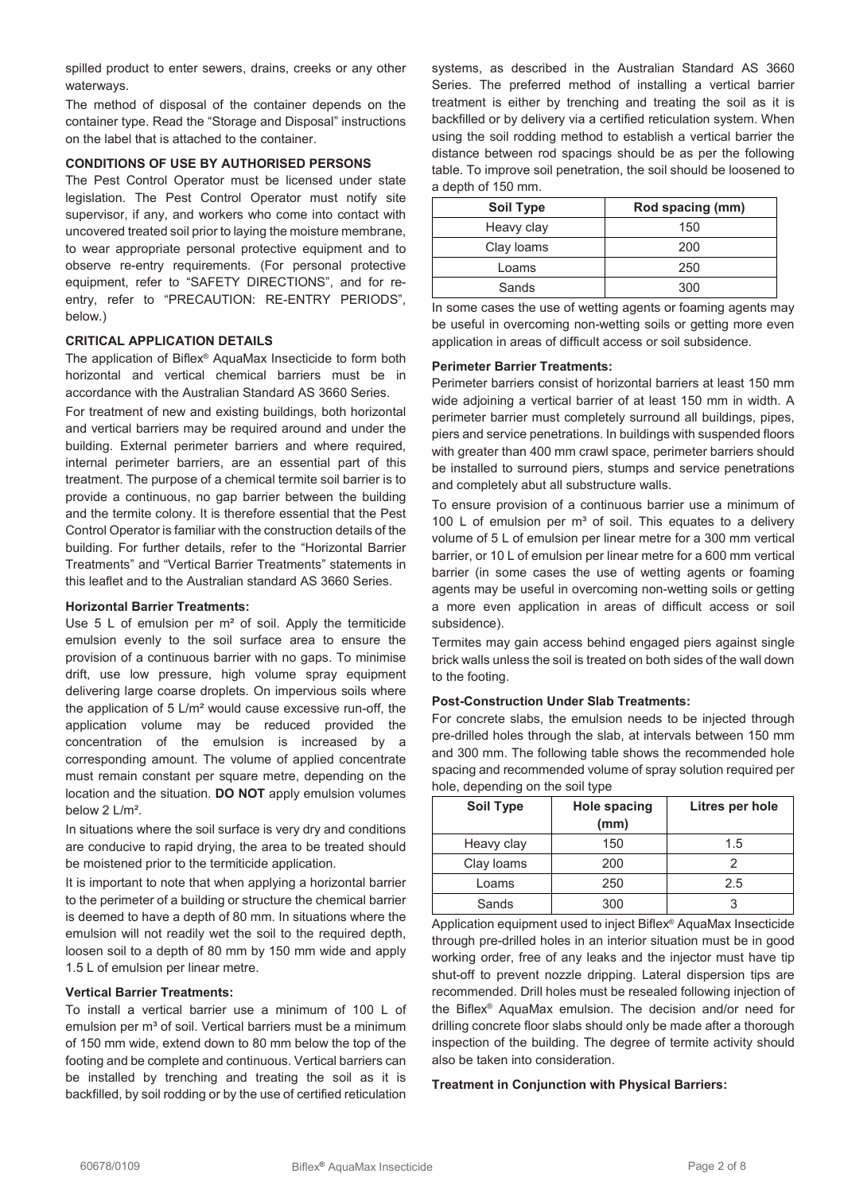spilled product to enter sewers, drains, creeks or any other waterways.

The method of disposal of the container depends on the container type. Read the "Storage and Disposal" instructions on the label that is attached to the container.

#### **CONDITIONS OF USE BY AUTHORISED PERSONS**

The Pest Control Operator must be licensed under state legislation. The Pest Control Operator must notify site supervisor, if any, and workers who come into contact with uncovered treated soil prior to laying the moisture membrane, to wear appropriate personal protective equipment and to observe re-entry requirements. (For personal protective equipment, refer to "SAFETY DIRECTIONS", and for reentry, refer to "PRECAUTION: RE-ENTRY PERIODS", below.)

#### **CRITICAL APPLICATION DETAILS**

The application of Biflex® AquaMax Insecticide to form both horizontal and vertical chemical barriers must be in accordance with the Australian Standard AS 3660 Series.

For treatment of new and existing buildings, both horizontal and vertical barriers may be required around and under the building. External perimeter barriers and where required, internal perimeter barriers, are an essential part of this treatment. The purpose of a chemical termite soil barrier is to provide a continuous, no gap barrier between the building and the termite colony. It is therefore essential that the Pest Control Operator is familiar with the construction details of the building. For further details, refer to the "Horizontal Barrier Treatments" and "Vertical Barrier Treatments" statements in this leaflet and to the Australian standard AS 3660 Series.

#### **Horizontal Barrier Treatments:**

Use 5 L of emulsion per m<sup>2</sup> of soil. Apply the termiticide emulsion evenly to the soil surface area to ensure the provision of a continuous barrier with no gaps. To minimise drift, use low pressure, high volume spray equipment delivering large coarse droplets. On impervious soils where the application of 5 L/m² would cause excessive run-off, the application volume may be reduced provided the concentration of the emulsion is increased by a corresponding amount. The volume of applied concentrate must remain constant per square metre, depending on the location and the situation. **DO NOT** apply emulsion volumes below 2 L/m².

In situations where the soil surface is very dry and conditions are conducive to rapid drying, the area to be treated should be moistened prior to the termiticide application.

It is important to note that when applying a horizontal barrier to the perimeter of a building or structure the chemical barrier is deemed to have a depth of 80 mm. In situations where the emulsion will not readily wet the soil to the required depth, loosen soil to a depth of 80 mm by 150 mm wide and apply 1.5 L of emulsion per linear metre.

#### **Vertical Barrier Treatments:**

To install a vertical barrier use a minimum of 100 L of emulsion per m<sup>3</sup> of soil. Vertical barriers must be a minimum of 150 mm wide, extend down to 80 mm below the top of the footing and be complete and continuous. Vertical barriers can be installed by trenching and treating the soil as it is backfilled, by soil rodding or by the use of certified reticulation

systems, as described in the Australian Standard AS 3660 Series. The preferred method of installing a vertical barrier treatment is either by trenching and treating the soil as it is backfilled or by delivery via a certified reticulation system. When using the soil rodding method to establish a vertical barrier the distance between rod spacings should be as per the following table. To improve soil penetration, the soil should be loosened to a depth of 150 mm.

| <b>Soil Type</b> | Rod spacing (mm) |
|------------------|------------------|
| Heavy clay       | 150              |
| Clay loams       | 200              |
| I oams           | 250              |
| Sands            | 300              |

In some cases the use of wetting agents or foaming agents may be useful in overcoming non-wetting soils or getting more even application in areas of difficult access or soil subsidence.

#### **Perimeter Barrier Treatments:**

Perimeter barriers consist of horizontal barriers at least 150 mm wide adjoining a vertical barrier of at least 150 mm in width. A perimeter barrier must completely surround all buildings, pipes, piers and service penetrations. In buildings with suspended floors with greater than 400 mm crawl space, perimeter barriers should be installed to surround piers, stumps and service penetrations and completely abut all substructure walls.

To ensure provision of a continuous barrier use a minimum of 100 L of emulsion per  $m<sup>3</sup>$  of soil. This equates to a delivery volume of 5 L of emulsion per linear metre for a 300 mm vertical barrier, or 10 L of emulsion per linear metre for a 600 mm vertical barrier (in some cases the use of wetting agents or foaming agents may be useful in overcoming non-wetting soils or getting a more even application in areas of difficult access or soil subsidence).

Termites may gain access behind engaged piers against single brick walls unless the soil is treated on both sides of the wall down to the footing.

#### **Post-Construction Under Slab Treatments:**

For concrete slabs, the emulsion needs to be injected through pre-drilled holes through the slab, at intervals between 150 mm and 300 mm. The following table shows the recommended hole spacing and recommended volume of spray solution required per hole, depending on the soil type

| <b>Soil Type</b> | <b>Hole spacing</b><br>(mm) | Litres per hole |
|------------------|-----------------------------|-----------------|
| Heavy clay       | 150                         | 1.5             |
| Clay loams       | 200                         |                 |
| Loams            | 250                         | 2.5             |
| Sands            | 300                         |                 |

Application equipment used to inject Biflex® AquaMax Insecticide through pre-drilled holes in an interior situation must be in good working order, free of any leaks and the injector must have tip shut-off to prevent nozzle dripping. Lateral dispersion tips are recommended. Drill holes must be resealed following injection of the Biflex® AquaMax emulsion. The decision and/or need for drilling concrete floor slabs should only be made after a thorough inspection of the building. The degree of termite activity should also be taken into consideration.

#### **Treatment in Conjunction with Physical Barriers:**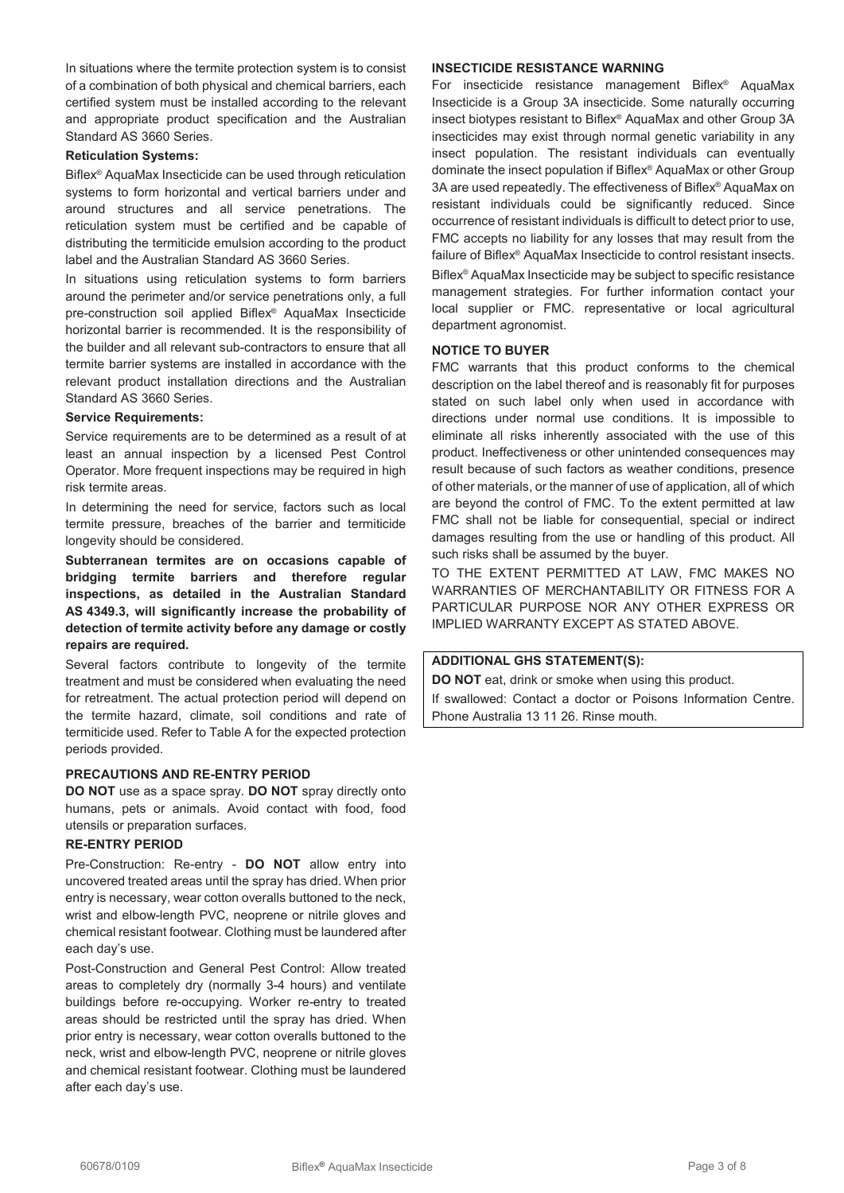In situations where the termite protection system is to consist of a combination of both physical and chemical barriers, each certified system must be installed according to the relevant and appropriate product specification and the Australian Standard AS 3660 Series.

#### **Reticulation Systems:**

Biflex® AquaMax Insecticide can be used through reticulation systems to form horizontal and vertical barriers under and around structures and all service penetrations. The reticulation system must be certified and be capable of distributing the termiticide emulsion according to the product label and the Australian Standard AS 3660 Series.

In situations using reticulation systems to form barriers around the perimeter and/or service penetrations only, a full pre-construction soil applied Biflex® AquaMax Insecticide horizontal barrier is recommended. It is the responsibility of the builder and all relevant sub-contractors to ensure that all termite barrier systems are installed in accordance with the relevant product installation directions and the Australian Standard AS 3660 Series.

#### **Service Requirements:**

Service requirements are to be determined as a result of at least an annual inspection by a licensed Pest Control Operator. More frequent inspections may be required in high risk termite areas.

In determining the need for service, factors such as local termite pressure, breaches of the barrier and termiticide longevity should be considered.

**Subterranean termites are on occasions capable of bridging termite barriers and therefore regular inspections, as detailed in the Australian Standard AS 4349.3, will significantly increase the probability of detection of termite activity before any damage or costly repairs are required.**

Several factors contribute to longevity of the termite treatment and must be considered when evaluating the need for retreatment. The actual protection period will depend on the termite hazard, climate, soil conditions and rate of termiticide used. Refer to Table A for the expected protection periods provided.

#### **PRECAUTIONS AND RE-ENTRY PERIOD**

**DO NOT** use as a space spray. **DO NOT** spray directly onto humans, pets or animals. Avoid contact with food, food utensils or preparation surfaces.

#### **RE-ENTRY PERIOD**

Pre-Construction: Re-entry - **DO NOT** allow entry into uncovered treated areas until the spray has dried. When prior entry is necessary, wear cotton overalls buttoned to the neck, wrist and elbow-length PVC, neoprene or nitrile gloves and chemical resistant footwear. Clothing must be laundered after each day's use.

Post-Construction and General Pest Control: Allow treated areas to completely dry (normally 3-4 hours) and ventilate buildings before re-occupying. Worker re-entry to treated areas should be restricted until the spray has dried. When prior entry is necessary, wear cotton overalls buttoned to the neck, wrist and elbow-length PVC, neoprene or nitrile gloves and chemical resistant footwear. Clothing must be laundered after each day's use.

#### **INSECTICIDE RESISTANCE WARNING**

For insecticide resistance management Biflex® AquaMax Insecticide is a Group 3A insecticide. Some naturally occurring insect biotypes resistant to Biflex® AquaMax and other Group 3A insecticides may exist through normal genetic variability in any insect population. The resistant individuals can eventually dominate the insect population if Biflex® AquaMax or other Group 3A are used repeatedly. The effectiveness of Biflex® AquaMax on resistant individuals could be significantly reduced. Since occurrence of resistant individuals is difficult to detect prior to use, FMC accepts no liability for any losses that may result from the failure of Biflex® AquaMax Insecticide to control resistant insects. Biflex® AquaMax Insecticide may be subject to specific resistance management strategies. For further information contact your local supplier or FMC. representative or local agricultural department agronomist.

#### **NOTICE TO BUYER**

FMC warrants that this product conforms to the chemical description on the label thereof and is reasonably fit for purposes stated on such label only when used in accordance with directions under normal use conditions. It is impossible to eliminate all risks inherently associated with the use of this product. Ineffectiveness or other unintended consequences may result because of such factors as weather conditions, presence of other materials, or the manner of use of application, all of which are beyond the control of FMC. To the extent permitted at law FMC shall not be liable for consequential, special or indirect damages resulting from the use or handling of this product. All such risks shall be assumed by the buyer.

TO THE EXTENT PERMITTED AT LAW, FMC MAKES NO WARRANTIES OF MERCHANTABILITY OR FITNESS FOR A PARTICULAR PURPOSE NOR ANY OTHER EXPRESS OR IMPLIED WARRANTY EXCEPT AS STATED ABOVE.

#### **ADDITIONAL GHS STATEMENT(S):**

**DO NOT** eat, drink or smoke when using this product.

If swallowed: Contact a doctor or Poisons Information Centre. Phone Australia 13 11 26. Rinse mouth.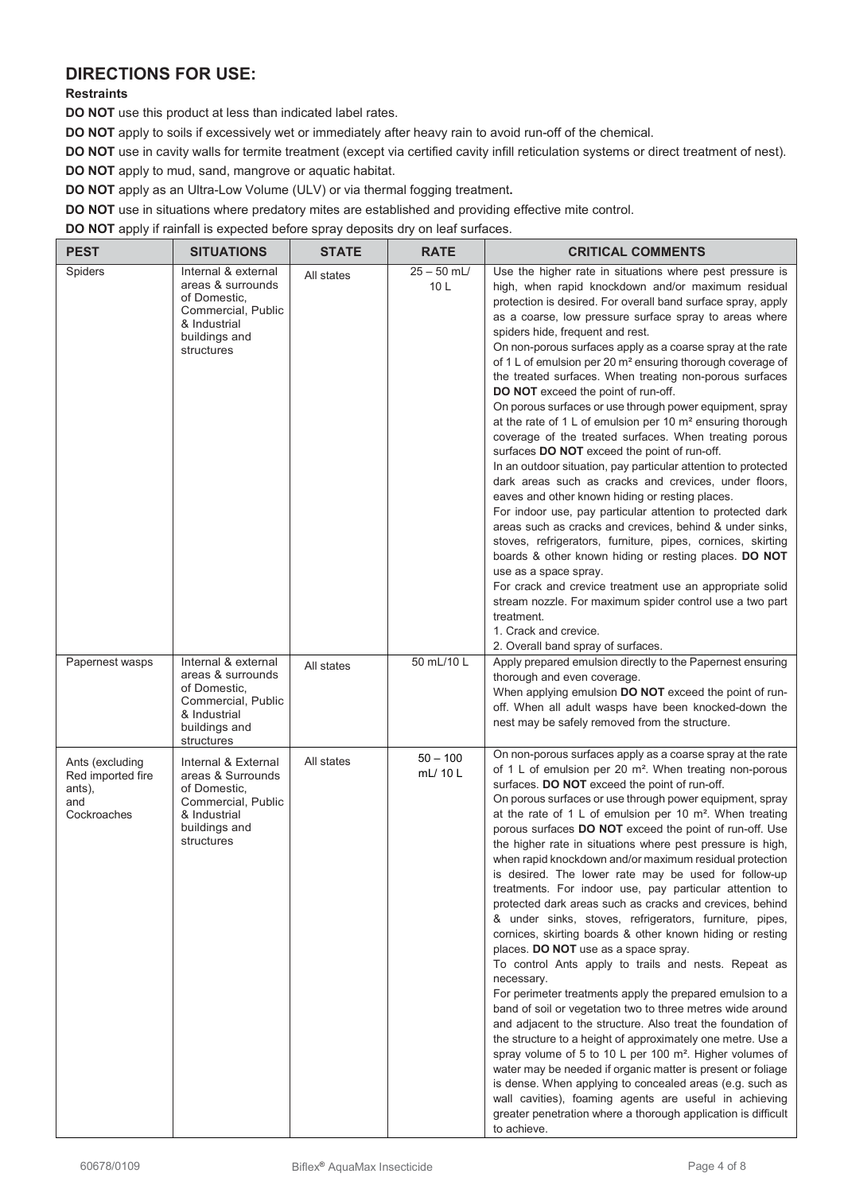## **DIRECTIONS FOR USE:**

### **Restraints**

**DO NOT** use this product at less than indicated label rates.

**DO NOT** apply to soils if excessively wet or immediately after heavy rain to avoid run-off of the chemical.

**DO NOT** use in cavity walls for termite treatment (except via certified cavity infill reticulation systems or direct treatment of nest).

**DO NOT** apply to mud, sand, mangrove or aquatic habitat.

**DO NOT** apply as an Ultra-Low Volume (ULV) or via thermal fogging treatment**.**

**DO NOT** use in situations where predatory mites are established and providing effective mite control.

**DO NOT** apply if rainfall is expected before spray deposits dry on leaf surfaces.

| <b>PEST</b>                                                          | <b>SITUATIONS</b>                                                                                                             | <b>STATE</b> | <b>RATE</b>          | <b>CRITICAL COMMENTS</b>                                                                                                                                                                                                                                                                                                                                                                                                                                                                                                                                                                                                                                                                                                                                                                                                                                                                                                                                                                                                                                                                                                                                                                                                                                                                                                                                                                                                                                                                                                    |
|----------------------------------------------------------------------|-------------------------------------------------------------------------------------------------------------------------------|--------------|----------------------|-----------------------------------------------------------------------------------------------------------------------------------------------------------------------------------------------------------------------------------------------------------------------------------------------------------------------------------------------------------------------------------------------------------------------------------------------------------------------------------------------------------------------------------------------------------------------------------------------------------------------------------------------------------------------------------------------------------------------------------------------------------------------------------------------------------------------------------------------------------------------------------------------------------------------------------------------------------------------------------------------------------------------------------------------------------------------------------------------------------------------------------------------------------------------------------------------------------------------------------------------------------------------------------------------------------------------------------------------------------------------------------------------------------------------------------------------------------------------------------------------------------------------------|
| Spiders                                                              | Internal & external<br>areas & surrounds<br>of Domestic,<br>Commercial, Public<br>& Industrial<br>buildings and<br>structures | All states   | $25 - 50$ mL/<br>10L | Use the higher rate in situations where pest pressure is<br>high, when rapid knockdown and/or maximum residual<br>protection is desired. For overall band surface spray, apply<br>as a coarse, low pressure surface spray to areas where<br>spiders hide, frequent and rest.<br>On non-porous surfaces apply as a coarse spray at the rate<br>of 1 L of emulsion per 20 m <sup>2</sup> ensuring thorough coverage of<br>the treated surfaces. When treating non-porous surfaces<br>DO NOT exceed the point of run-off.<br>On porous surfaces or use through power equipment, spray<br>at the rate of 1 L of emulsion per 10 $m2$ ensuring thorough<br>coverage of the treated surfaces. When treating porous<br>surfaces DO NOT exceed the point of run-off.<br>In an outdoor situation, pay particular attention to protected<br>dark areas such as cracks and crevices, under floors,<br>eaves and other known hiding or resting places.<br>For indoor use, pay particular attention to protected dark<br>areas such as cracks and crevices, behind & under sinks,<br>stoves, refrigerators, furniture, pipes, cornices, skirting<br>boards & other known hiding or resting places. DO NOT<br>use as a space spray.<br>For crack and crevice treatment use an appropriate solid<br>stream nozzle. For maximum spider control use a two part<br>treatment.<br>1. Crack and crevice.<br>2. Overall band spray of surfaces.                                                                                                  |
| Papernest wasps                                                      | Internal & external<br>areas & surrounds<br>of Domestic,<br>Commercial, Public<br>& Industrial<br>buildings and<br>structures | All states   | 50 mL/10 L           | Apply prepared emulsion directly to the Papernest ensuring<br>thorough and even coverage.<br>When applying emulsion DO NOT exceed the point of run-<br>off. When all adult wasps have been knocked-down the<br>nest may be safely removed from the structure.                                                                                                                                                                                                                                                                                                                                                                                                                                                                                                                                                                                                                                                                                                                                                                                                                                                                                                                                                                                                                                                                                                                                                                                                                                                               |
| Ants (excluding<br>Red imported fire<br>ants),<br>and<br>Cockroaches | Internal & External<br>areas & Surrounds<br>of Domestic,<br>Commercial, Public<br>& Industrial<br>buildings and<br>structures | All states   | $50 - 100$<br>mL/10L | On non-porous surfaces apply as a coarse spray at the rate<br>of 1 L of emulsion per 20 m <sup>2</sup> . When treating non-porous<br>surfaces. DO NOT exceed the point of run-off.<br>On porous surfaces or use through power equipment, spray<br>at the rate of 1 L of emulsion per 10 $m2$ . When treating<br>porous surfaces DO NOT exceed the point of run-off. Use<br>the higher rate in situations where pest pressure is high,<br>when rapid knockdown and/or maximum residual protection<br>is desired. The lower rate may be used for follow-up<br>treatments. For indoor use, pay particular attention to<br>protected dark areas such as cracks and crevices, behind<br>& under sinks, stoves, refrigerators, furniture, pipes,<br>cornices, skirting boards & other known hiding or resting<br>places. DO NOT use as a space spray.<br>To control Ants apply to trails and nests. Repeat as<br>necessary.<br>For perimeter treatments apply the prepared emulsion to a<br>band of soil or vegetation two to three metres wide around<br>and adjacent to the structure. Also treat the foundation of<br>the structure to a height of approximately one metre. Use a<br>spray volume of 5 to 10 L per 100 m <sup>2</sup> . Higher volumes of<br>water may be needed if organic matter is present or foliage<br>is dense. When applying to concealed areas (e.g. such as<br>wall cavities), foaming agents are useful in achieving<br>greater penetration where a thorough application is difficult<br>to achieve. |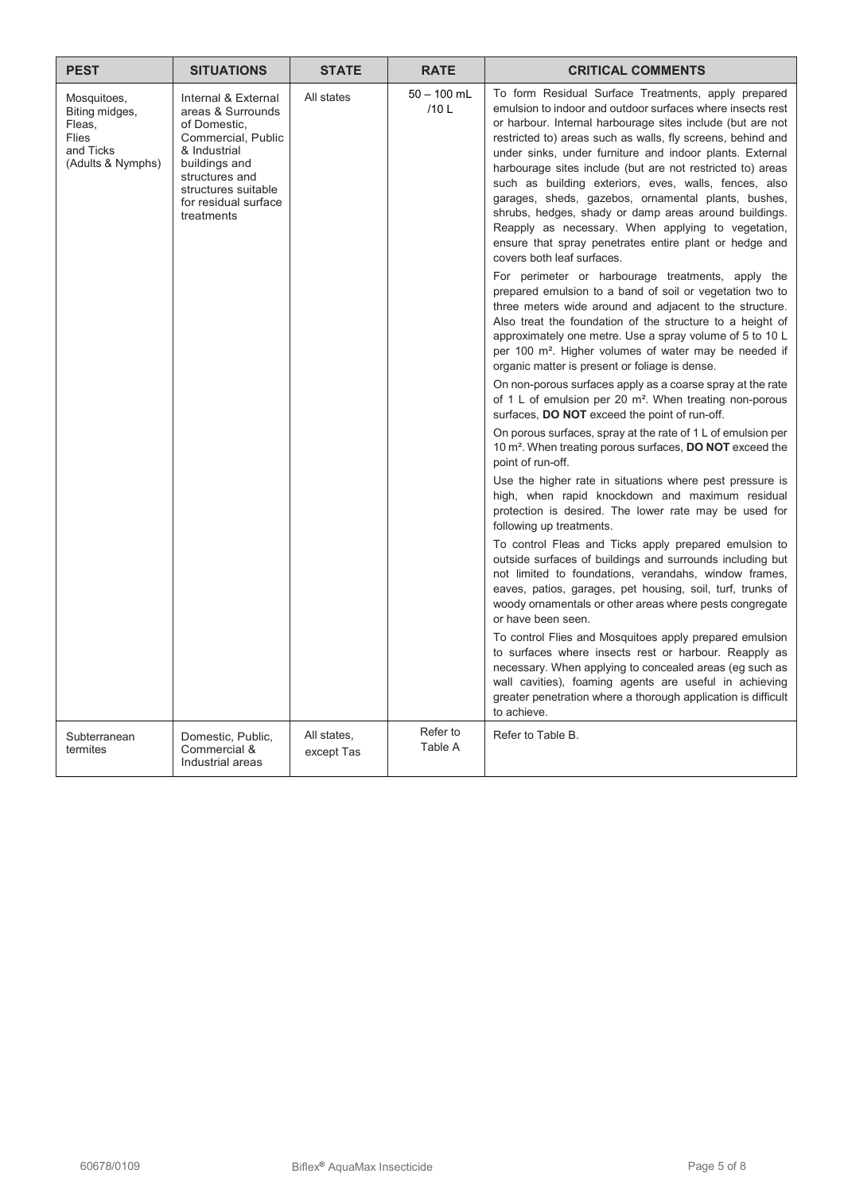| <b>PEST</b>                                                                        | <b>SITUATIONS</b>                                                                                                                                                                              | <b>STATE</b> | <b>RATE</b>           | <b>CRITICAL COMMENTS</b>                                                                                                                                                                                                                                                                                                                                                                                                                                                                                                                                                                                                                                                                                                                                                                                                                                                                                                                                                                                                                                                                                                                                                                                                                                                                                                                                                                                                                                                                                                                                                                                                                                                                                                                                                                                                                                                                                                                                                                                                                                                                                                                                                                                                                                |
|------------------------------------------------------------------------------------|------------------------------------------------------------------------------------------------------------------------------------------------------------------------------------------------|--------------|-----------------------|---------------------------------------------------------------------------------------------------------------------------------------------------------------------------------------------------------------------------------------------------------------------------------------------------------------------------------------------------------------------------------------------------------------------------------------------------------------------------------------------------------------------------------------------------------------------------------------------------------------------------------------------------------------------------------------------------------------------------------------------------------------------------------------------------------------------------------------------------------------------------------------------------------------------------------------------------------------------------------------------------------------------------------------------------------------------------------------------------------------------------------------------------------------------------------------------------------------------------------------------------------------------------------------------------------------------------------------------------------------------------------------------------------------------------------------------------------------------------------------------------------------------------------------------------------------------------------------------------------------------------------------------------------------------------------------------------------------------------------------------------------------------------------------------------------------------------------------------------------------------------------------------------------------------------------------------------------------------------------------------------------------------------------------------------------------------------------------------------------------------------------------------------------------------------------------------------------------------------------------------------------|
| Mosquitoes,<br>Biting midges,<br>Fleas,<br>Flies<br>and Ticks<br>(Adults & Nymphs) | Internal & External<br>areas & Surrounds<br>of Domestic,<br>Commercial, Public<br>& Industrial<br>buildings and<br>structures and<br>structures suitable<br>for residual surface<br>treatments | All states   | $50 - 100$ mL<br>/10L | To form Residual Surface Treatments, apply prepared<br>emulsion to indoor and outdoor surfaces where insects rest<br>or harbour. Internal harbourage sites include (but are not<br>restricted to) areas such as walls, fly screens, behind and<br>under sinks, under furniture and indoor plants. External<br>harbourage sites include (but are not restricted to) areas<br>such as building exteriors, eves, walls, fences, also<br>garages, sheds, gazebos, ornamental plants, bushes,<br>shrubs, hedges, shady or damp areas around buildings.<br>Reapply as necessary. When applying to vegetation,<br>ensure that spray penetrates entire plant or hedge and<br>covers both leaf surfaces.<br>For perimeter or harbourage treatments, apply the<br>prepared emulsion to a band of soil or vegetation two to<br>three meters wide around and adjacent to the structure.<br>Also treat the foundation of the structure to a height of<br>approximately one metre. Use a spray volume of 5 to 10 L<br>per 100 m <sup>2</sup> . Higher volumes of water may be needed if<br>organic matter is present or foliage is dense.<br>On non-porous surfaces apply as a coarse spray at the rate<br>of 1 L of emulsion per 20 $m^2$ . When treating non-porous<br>surfaces, DO NOT exceed the point of run-off.<br>On porous surfaces, spray at the rate of 1 L of emulsion per<br>10 m <sup>2</sup> . When treating porous surfaces, <b>DO NOT</b> exceed the<br>point of run-off.<br>Use the higher rate in situations where pest pressure is<br>high, when rapid knockdown and maximum residual<br>protection is desired. The lower rate may be used for<br>following up treatments.<br>To control Fleas and Ticks apply prepared emulsion to<br>outside surfaces of buildings and surrounds including but<br>not limited to foundations, verandahs, window frames,<br>eaves, patios, garages, pet housing, soil, turf, trunks of<br>woody ornamentals or other areas where pests congregate<br>or have been seen.<br>To control Flies and Mosquitoes apply prepared emulsion<br>to surfaces where insects rest or harbour. Reapply as<br>necessary. When applying to concealed areas (eg such as<br>wall cavities), foaming agents are useful in achieving |
|                                                                                    |                                                                                                                                                                                                |              |                       | greater penetration where a thorough application is difficult<br>to achieve.                                                                                                                                                                                                                                                                                                                                                                                                                                                                                                                                                                                                                                                                                                                                                                                                                                                                                                                                                                                                                                                                                                                                                                                                                                                                                                                                                                                                                                                                                                                                                                                                                                                                                                                                                                                                                                                                                                                                                                                                                                                                                                                                                                            |
| Subterranean                                                                       | Domestic, Public,                                                                                                                                                                              | All states,  | Refer to              | Refer to Table B.                                                                                                                                                                                                                                                                                                                                                                                                                                                                                                                                                                                                                                                                                                                                                                                                                                                                                                                                                                                                                                                                                                                                                                                                                                                                                                                                                                                                                                                                                                                                                                                                                                                                                                                                                                                                                                                                                                                                                                                                                                                                                                                                                                                                                                       |
| termites                                                                           | Commercial &<br>Industrial areas                                                                                                                                                               | except Tas   | Table A               |                                                                                                                                                                                                                                                                                                                                                                                                                                                                                                                                                                                                                                                                                                                                                                                                                                                                                                                                                                                                                                                                                                                                                                                                                                                                                                                                                                                                                                                                                                                                                                                                                                                                                                                                                                                                                                                                                                                                                                                                                                                                                                                                                                                                                                                         |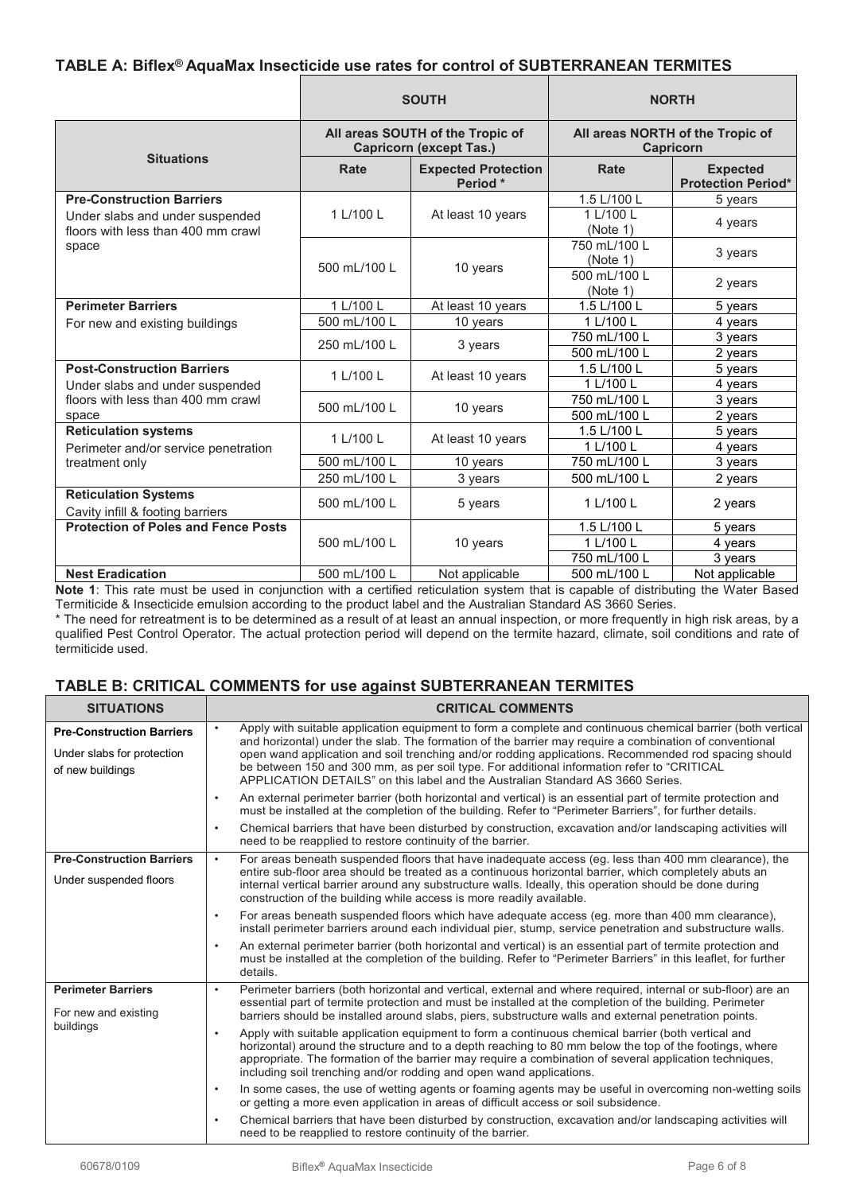## **TABLE A: Biflex® AquaMax Insecticide use rates for control of SUBTERRANEAN TERMITES**

|                                                                       | <b>SOUTH</b> |                                                                    | <b>NORTH</b>                                  |                                              |
|-----------------------------------------------------------------------|--------------|--------------------------------------------------------------------|-----------------------------------------------|----------------------------------------------|
| <b>Situations</b>                                                     |              | All areas SOUTH of the Tropic of<br><b>Capricorn (except Tas.)</b> | All areas NORTH of the Tropic of<br>Capricorn |                                              |
|                                                                       | Rate         | <b>Expected Protection</b><br>Period *                             | Rate                                          | <b>Expected</b><br><b>Protection Period*</b> |
| <b>Pre-Construction Barriers</b>                                      |              |                                                                    | 1.5 L/100 L                                   | 5 years                                      |
| Under slabs and under suspended<br>floors with less than 400 mm crawl | 1 L/100 L    | At least 10 years                                                  | 1 L/100 L<br>(Note 1)                         | 4 years                                      |
| space                                                                 |              | 10 years                                                           | 750 mL/100 L<br>(Note 1)                      | 3 years                                      |
|                                                                       | 500 mL/100 L |                                                                    | 500 mL/100 L<br>(Note 1)                      | 2 years                                      |
| <b>Perimeter Barriers</b>                                             | 1 L/100 L    | At least 10 years                                                  | 1.5 L/100 L                                   | 5 years                                      |
| For new and existing buildings                                        | 500 mL/100 L | 10 years                                                           | 1 L/100 L                                     | 4 years                                      |
|                                                                       | 250 mL/100 L |                                                                    | 750 mL/100 L                                  | 3 years                                      |
|                                                                       |              | 3 years                                                            | 500 mL/100 L                                  | 2 years                                      |
| <b>Post-Construction Barriers</b>                                     | 1 L/100 L    | At least 10 years                                                  | 1.5 L/100 L                                   | 5 years                                      |
| Under slabs and under suspended                                       |              |                                                                    | 1 L/100 L                                     | 4 years                                      |
| floors with less than 400 mm crawl                                    | 500 mL/100 L | 10 years                                                           | 750 mL/100 L                                  | 3 years                                      |
| space                                                                 |              |                                                                    | 500 mL/100 L                                  | 2 years                                      |
| <b>Reticulation systems</b>                                           | 1 L/100 L    | At least 10 years                                                  | 1.5 L/100 L                                   | 5 years                                      |
| Perimeter and/or service penetration                                  |              |                                                                    | 1 L/100 L                                     | 4 years                                      |
| treatment only                                                        | 500 mL/100 L | 10 years                                                           | 750 mL/100 L                                  | 3 years                                      |
|                                                                       | 250 mL/100 L | 3 years                                                            | 500 mL/100 L                                  | 2 years                                      |
| <b>Reticulation Systems</b><br>Cavity infill & footing barriers       | 500 mL/100 L | 5 years                                                            | 1 L/100 L                                     | 2 years                                      |
| <b>Protection of Poles and Fence Posts</b>                            | 500 mL/100 L | 10 years                                                           | 1.5 L/100 L                                   | 5 years                                      |
|                                                                       |              |                                                                    | 1 L/100 L                                     | 4 years                                      |
|                                                                       |              |                                                                    | 750 mL/100 L                                  | 3 years                                      |
| <b>Nest Eradication</b>                                               | 500 mL/100 L | Not applicable                                                     | 500 mL/100 L                                  | Not applicable                               |

**Note 1**: This rate must be used in conjunction with a certified reticulation system that is capable of distributing the Water Based Termiticide & Insecticide emulsion according to the product label and the Australian Standard AS 3660 Series.

\* The need for retreatment is to be determined as a result of at least an annual inspection, or more frequently in high risk areas, by a qualified Pest Control Operator. The actual protection period will depend on the termite hazard, climate, soil conditions and rate of termiticide used.

## **TABLE B: CRITICAL COMMENTS for use against SUBTERRANEAN TERMITES**

| <b>SITUATIONS</b>                                                                  | <b>CRITICAL COMMENTS</b>                                                                                                                                                                                                                                                                                                                                                                                                                                                                                      |
|------------------------------------------------------------------------------------|---------------------------------------------------------------------------------------------------------------------------------------------------------------------------------------------------------------------------------------------------------------------------------------------------------------------------------------------------------------------------------------------------------------------------------------------------------------------------------------------------------------|
| <b>Pre-Construction Barriers</b><br>Under slabs for protection<br>of new buildings | Apply with suitable application equipment to form a complete and continuous chemical barrier (both vertical<br>and horizontal) under the slab. The formation of the barrier may require a combination of conventional<br>open wand application and soil trenching and/or rodding applications. Recommended rod spacing should<br>be between 150 and 300 mm, as per soil type. For additional information refer to "CRITICAL<br>APPLICATION DETAILS" on this label and the Australian Standard AS 3660 Series. |
|                                                                                    | An external perimeter barrier (both horizontal and vertical) is an essential part of termite protection and<br>$\bullet$<br>must be installed at the completion of the building. Refer to "Perimeter Barriers", for further details.                                                                                                                                                                                                                                                                          |
|                                                                                    | Chemical barriers that have been disturbed by construction, excavation and/or landscaping activities will<br>$\bullet$<br>need to be reapplied to restore continuity of the barrier.                                                                                                                                                                                                                                                                                                                          |
| <b>Pre-Construction Barriers</b>                                                   | For areas beneath suspended floors that have inadequate access (eq. less than 400 mm clearance), the<br>$\bullet$<br>entire sub-floor area should be treated as a continuous horizontal barrier, which completely abuts an                                                                                                                                                                                                                                                                                    |
| Under suspended floors                                                             | internal vertical barrier around any substructure walls. Ideally, this operation should be done during<br>construction of the building while access is more readily available.                                                                                                                                                                                                                                                                                                                                |
|                                                                                    | For areas beneath suspended floors which have adequate access (eg. more than 400 mm clearance),<br>$\bullet$<br>install perimeter barriers around each individual pier, stump, service penetration and substructure walls.                                                                                                                                                                                                                                                                                    |
|                                                                                    | An external perimeter barrier (both horizontal and vertical) is an essential part of termite protection and<br>must be installed at the completion of the building. Refer to "Perimeter Barriers" in this leaflet, for further<br>details.                                                                                                                                                                                                                                                                    |
| <b>Perimeter Barriers</b><br>For new and existing                                  | Perimeter barriers (both horizontal and vertical, external and where required, internal or sub-floor) are an<br>$\bullet$<br>essential part of termite protection and must be installed at the completion of the building. Perimeter<br>barriers should be installed around slabs, piers, substructure walls and external penetration points.                                                                                                                                                                 |
| buildings                                                                          | Apply with suitable application equipment to form a continuous chemical barrier (both vertical and<br>$\bullet$<br>horizontal) around the structure and to a depth reaching to 80 mm below the top of the footings, where<br>appropriate. The formation of the barrier may require a combination of several application techniques,<br>including soil trenching and/or rodding and open wand applications.                                                                                                    |
|                                                                                    | In some cases, the use of wetting agents or foaming agents may be useful in overcoming non-wetting soils<br>$\bullet$<br>or getting a more even application in areas of difficult access or soil subsidence.                                                                                                                                                                                                                                                                                                  |
|                                                                                    | Chemical barriers that have been disturbed by construction, excavation and/or landscaping activities will<br>$\bullet$<br>need to be reapplied to restore continuity of the barrier.                                                                                                                                                                                                                                                                                                                          |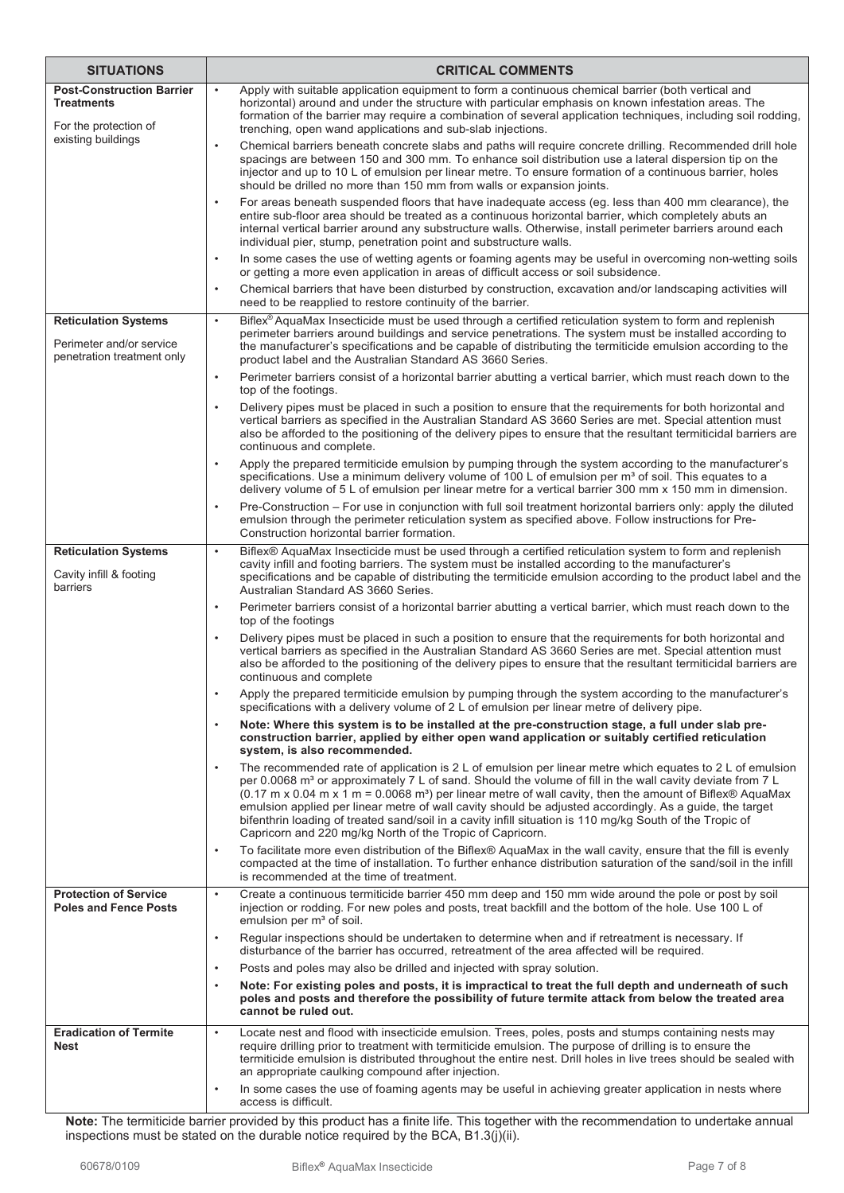| <b>SITUATIONS</b>                                                                     | <b>CRITICAL COMMENTS</b>                                                                                                                                                                                                                                                                                                                                                                                                                                                                                                                                                                                                                                                                   |
|---------------------------------------------------------------------------------------|--------------------------------------------------------------------------------------------------------------------------------------------------------------------------------------------------------------------------------------------------------------------------------------------------------------------------------------------------------------------------------------------------------------------------------------------------------------------------------------------------------------------------------------------------------------------------------------------------------------------------------------------------------------------------------------------|
| <b>Post-Construction Barrier</b><br><b>Treatments</b><br>For the protection of        | Apply with suitable application equipment to form a continuous chemical barrier (both vertical and<br>horizontal) around and under the structure with particular emphasis on known infestation areas. The<br>formation of the barrier may require a combination of several application techniques, including soil rodding,<br>trenching, open wand applications and sub-slab injections.                                                                                                                                                                                                                                                                                                   |
| existing buildings                                                                    | Chemical barriers beneath concrete slabs and paths will require concrete drilling. Recommended drill hole<br>$\bullet$<br>spacings are between 150 and 300 mm. To enhance soil distribution use a lateral dispersion tip on the<br>injector and up to 10 L of emulsion per linear metre. To ensure formation of a continuous barrier, holes<br>should be drilled no more than 150 mm from walls or expansion joints.                                                                                                                                                                                                                                                                       |
|                                                                                       | For areas beneath suspended floors that have inadequate access (eg. less than 400 mm clearance), the<br>$\bullet$<br>entire sub-floor area should be treated as a continuous horizontal barrier, which completely abuts an<br>internal vertical barrier around any substructure walls. Otherwise, install perimeter barriers around each<br>individual pier, stump, penetration point and substructure walls.                                                                                                                                                                                                                                                                              |
|                                                                                       | In some cases the use of wetting agents or foaming agents may be useful in overcoming non-wetting soils<br>$\bullet$<br>or getting a more even application in areas of difficult access or soil subsidence.                                                                                                                                                                                                                                                                                                                                                                                                                                                                                |
|                                                                                       | Chemical barriers that have been disturbed by construction, excavation and/or landscaping activities will<br>$\bullet$<br>need to be reapplied to restore continuity of the barrier.                                                                                                                                                                                                                                                                                                                                                                                                                                                                                                       |
| <b>Reticulation Systems</b><br>Perimeter and/or service<br>penetration treatment only | Biflex <sup>®</sup> AquaMax Insecticide must be used through a certified reticulation system to form and replenish<br>$\bullet$<br>perimeter barriers around buildings and service penetrations. The system must be installed according to<br>the manufacturer's specifications and be capable of distributing the termiticide emulsion according to the<br>product label and the Australian Standard AS 3660 Series.                                                                                                                                                                                                                                                                      |
|                                                                                       | $\bullet$<br>Perimeter barriers consist of a horizontal barrier abutting a vertical barrier, which must reach down to the<br>top of the footings.                                                                                                                                                                                                                                                                                                                                                                                                                                                                                                                                          |
|                                                                                       | Delivery pipes must be placed in such a position to ensure that the requirements for both horizontal and<br>$\bullet$<br>vertical barriers as specified in the Australian Standard AS 3660 Series are met. Special attention must<br>also be afforded to the positioning of the delivery pipes to ensure that the resultant termiticidal barriers are<br>continuous and complete.                                                                                                                                                                                                                                                                                                          |
|                                                                                       | Apply the prepared termiticide emulsion by pumping through the system according to the manufacturer's<br>$\bullet$<br>specifications. Use a minimum delivery volume of 100 L of emulsion per m <sup>3</sup> of soil. This equates to a<br>delivery volume of 5 L of emulsion per linear metre for a vertical barrier 300 mm x 150 mm in dimension.                                                                                                                                                                                                                                                                                                                                         |
|                                                                                       | Pre-Construction – For use in conjunction with full soil treatment horizontal barriers only: apply the diluted<br>$\bullet$<br>emulsion through the perimeter reticulation system as specified above. Follow instructions for Pre-<br>Construction horizontal barrier formation.                                                                                                                                                                                                                                                                                                                                                                                                           |
| <b>Reticulation Systems</b><br>Cavity infill & footing<br>barriers                    | Biflex® AquaMax Insecticide must be used through a certified reticulation system to form and replenish<br>$\bullet$<br>cavity infill and footing barriers. The system must be installed according to the manufacturer's<br>specifications and be capable of distributing the termiticide emulsion according to the product label and the<br>Australian Standard AS 3660 Series.                                                                                                                                                                                                                                                                                                            |
|                                                                                       | Perimeter barriers consist of a horizontal barrier abutting a vertical barrier, which must reach down to the<br>$\bullet$<br>top of the footings                                                                                                                                                                                                                                                                                                                                                                                                                                                                                                                                           |
|                                                                                       | Delivery pipes must be placed in such a position to ensure that the requirements for both horizontal and<br>$\bullet$<br>vertical barriers as specified in the Australian Standard AS 3660 Series are met. Special attention must<br>also be afforded to the positioning of the delivery pipes to ensure that the resultant termiticidal barriers are<br>continuous and complete                                                                                                                                                                                                                                                                                                           |
|                                                                                       | Apply the prepared termiticide emulsion by pumping through the system according to the manufacturer's<br>specifications with a delivery volume of 2 L of emulsion per linear metre of delivery pipe.                                                                                                                                                                                                                                                                                                                                                                                                                                                                                       |
|                                                                                       | Note: Where this system is to be installed at the pre-construction stage, a full under slab pre-<br>$\bullet$<br>construction barrier, applied by either open wand application or suitably certified reticulation<br>system, is also recommended.                                                                                                                                                                                                                                                                                                                                                                                                                                          |
|                                                                                       | The recommended rate of application is 2 L of emulsion per linear metre which equates to 2 L of emulsion<br>$\bullet$<br>per 0.0068 m <sup>3</sup> or approximately 7 L of sand. Should the volume of fill in the wall cavity deviate from 7 L<br>$(0.17 \text{ m} \times 0.04 \text{ m} \times 1 \text{ m} = 0.0068 \text{ m}^3)$ per linear metre of wall cavity, then the amount of Biflex® AquaMax<br>emulsion applied per linear metre of wall cavity should be adjusted accordingly. As a guide, the target<br>bifenthrin loading of treated sand/soil in a cavity infill situation is 110 mg/kg South of the Tropic of<br>Capricorn and 220 mg/kg North of the Tropic of Capricorn. |
|                                                                                       | To facilitate more even distribution of the Biflex® AquaMax in the wall cavity, ensure that the fill is evenly<br>$\bullet$<br>compacted at the time of installation. To further enhance distribution saturation of the sand/soil in the infill<br>is recommended at the time of treatment.                                                                                                                                                                                                                                                                                                                                                                                                |
| <b>Protection of Service</b><br><b>Poles and Fence Posts</b>                          | Create a continuous termiticide barrier 450 mm deep and 150 mm wide around the pole or post by soil<br>$\bullet$<br>injection or rodding. For new poles and posts, treat backfill and the bottom of the hole. Use 100 L of<br>emulsion per m <sup>3</sup> of soil.                                                                                                                                                                                                                                                                                                                                                                                                                         |
|                                                                                       | Regular inspections should be undertaken to determine when and if retreatment is necessary. If<br>$\bullet$<br>disturbance of the barrier has occurred, retreatment of the area affected will be required.                                                                                                                                                                                                                                                                                                                                                                                                                                                                                 |
|                                                                                       | Posts and poles may also be drilled and injected with spray solution.<br>$\bullet$<br>Note: For existing poles and posts, it is impractical to treat the full depth and underneath of such<br>$\bullet$                                                                                                                                                                                                                                                                                                                                                                                                                                                                                    |
|                                                                                       | poles and posts and therefore the possibility of future termite attack from below the treated area<br>cannot be ruled out.                                                                                                                                                                                                                                                                                                                                                                                                                                                                                                                                                                 |
| <b>Eradication of Termite</b><br><b>Nest</b>                                          | Locate nest and flood with insecticide emulsion. Trees, poles, posts and stumps containing nests may<br>$\bullet$<br>require drilling prior to treatment with termiticide emulsion. The purpose of drilling is to ensure the<br>termiticide emulsion is distributed throughout the entire nest. Drill holes in live trees should be sealed with<br>an appropriate caulking compound after injection.                                                                                                                                                                                                                                                                                       |
|                                                                                       | In some cases the use of foaming agents may be useful in achieving greater application in nests where<br>$\bullet$<br>access is difficult.                                                                                                                                                                                                                                                                                                                                                                                                                                                                                                                                                 |

**Note:** The termiticide barrier provided by this product has a finite life. This together with the recommendation to undertake annual inspections must be stated on the durable notice required by the BCA, B1.3(j)(ii).